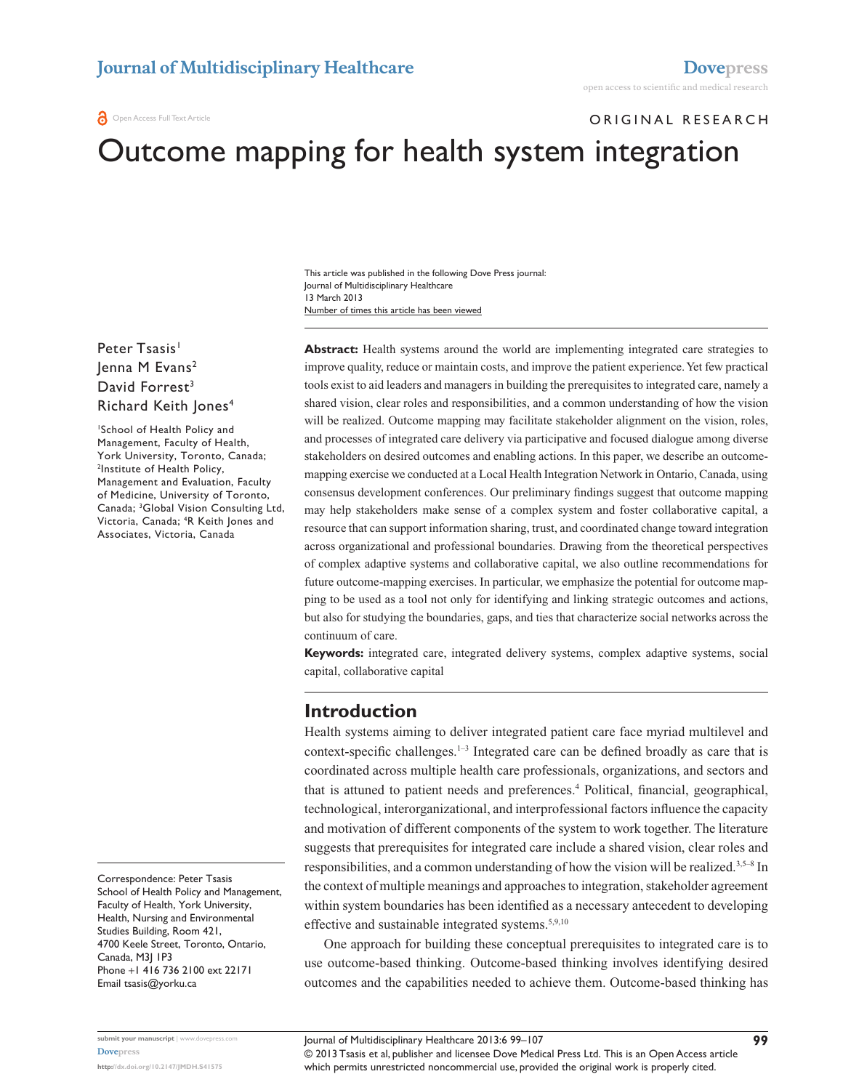#### Open Access Full Text Article

# ORIGINAL RESEARCH

# Outcome mapping for health system integration

Number of times this article has been viewed This article was published in the following Dove Press journal: Journal of Multidisciplinary Healthcare 13 March 2013

#### Peter Tsasis<sup>1</sup> lenna M Evans<sup>2</sup> David Forrest<sup>3</sup> Richard Keith Jones<sup>4</sup>

1 School of Health Policy and Management, Faculty of Health, York University, Toronto, Canada; 2 Institute of Health Policy, Management and Evaluation, Faculty of Medicine, University of Toronto, Canada; 3 Global Vision Consulting Ltd, Victoria, Canada; 4 R Keith Jones and Associates, Victoria, Canada

Correspondence: Peter Tsasis School of Health Policy and Management, Faculty of Health, York University, Health, Nursing and Environmental Studies Building, Room 421, 4700 Keele Street, Toronto, Ontario, Canada, M3J 1P3 Phone +1 416 736 2100 ext 22171 Email [tsasis@yorku.ca](mailto:tsasis@yorku.ca)

**Abstract:** Health systems around the world are implementing integrated care strategies to improve quality, reduce or maintain costs, and improve the patient experience. Yet few practical tools exist to aid leaders and managers in building the prerequisites to integrated care, namely a shared vision, clear roles and responsibilities, and a common understanding of how the vision will be realized. Outcome mapping may facilitate stakeholder alignment on the vision, roles, and processes of integrated care delivery via participative and focused dialogue among diverse stakeholders on desired outcomes and enabling actions. In this paper, we describe an outcomemapping exercise we conducted at a Local Health Integration Network in Ontario, Canada, using consensus development conferences. Our preliminary findings suggest that outcome mapping may help stakeholders make sense of a complex system and foster collaborative capital, a resource that can support information sharing, trust, and coordinated change toward integration across organizational and professional boundaries. Drawing from the theoretical perspectives of complex adaptive systems and collaborative capital, we also outline recommendations for future outcome-mapping exercises. In particular, we emphasize the potential for outcome mapping to be used as a tool not only for identifying and linking strategic outcomes and actions, but also for studying the boundaries, gaps, and ties that characterize social networks across the continuum of care.

**Keywords:** integrated care, integrated delivery systems, complex adaptive systems, social capital, collaborative capital

## **Introduction**

Health systems aiming to deliver integrated patient care face myriad multilevel and context-specific challenges.1–3 Integrated care can be defined broadly as care that is coordinated across multiple health care professionals, organizations, and sectors and that is attuned to patient needs and preferences.<sup>4</sup> Political, financial, geographical, technological, interorganizational, and interprofessional factors influence the capacity and motivation of different components of the system to work together. The literature suggests that prerequisites for integrated care include a shared vision, clear roles and responsibilities, and a common understanding of how the vision will be realized.3,5–8 In the context of multiple meanings and approaches to integration, stakeholder agreement within system boundaries has been identified as a necessary antecedent to developing effective and sustainable integrated systems.5,9,10

One approach for building these conceptual prerequisites to integrated care is to use outcome-based thinking. Outcome-based thinking involves identifying desired outcomes and the capabilities needed to achieve them. Outcome-based thinking has

© 2013 Tsasis et al, publisher and licensee Dove Medical Press Ltd. This is an Open Access article which permits unrestricted noncommercial use, provided the original work is properly cited.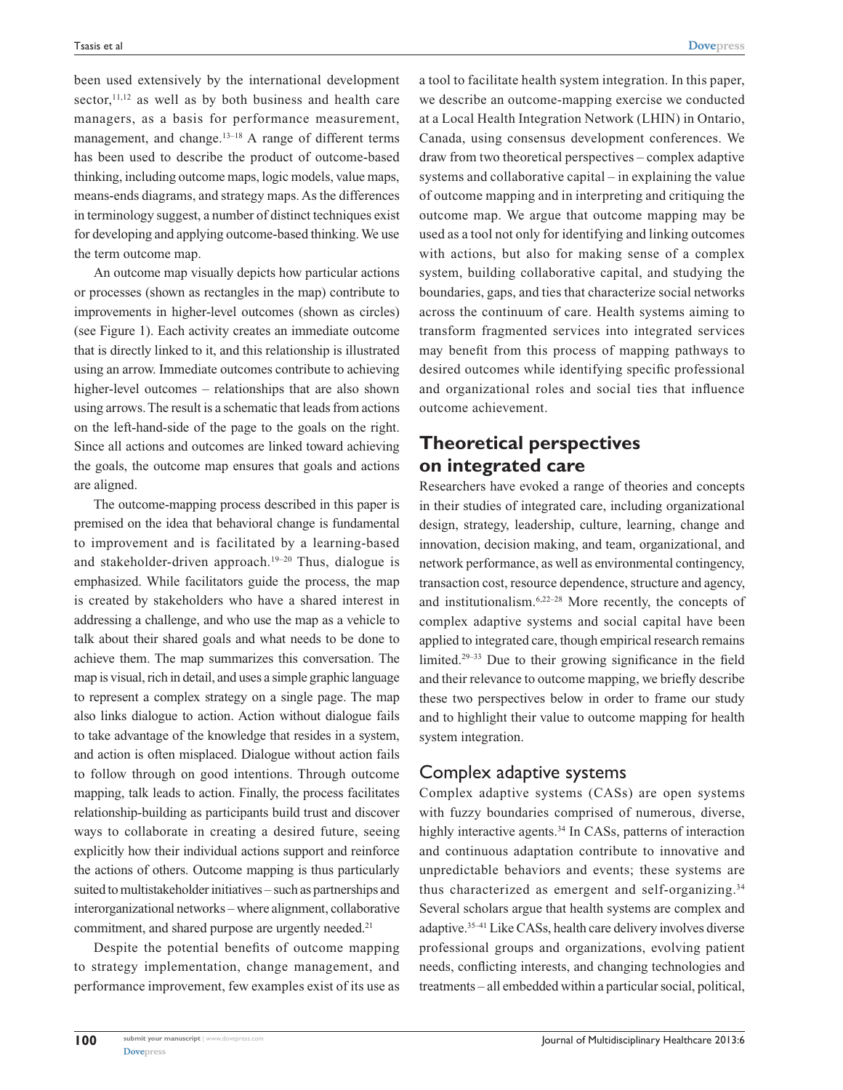been used extensively by the international development  $sector<sub>11,12</sub>$  as well as by both business and health care managers, as a basis for performance measurement, management, and change. $13-18$  A range of different terms has been used to describe the product of outcome-based thinking, including outcome maps, logic models, value maps, means-ends diagrams, and strategy maps. As the differences in terminology suggest, a number of distinct techniques exist for developing and applying outcome-based thinking. We use the term outcome map.

An outcome map visually depicts how particular actions or processes (shown as rectangles in the map) contribute to improvements in higher-level outcomes (shown as circles) (see Figure 1). Each activity creates an immediate outcome that is directly linked to it, and this relationship is illustrated using an arrow. Immediate outcomes contribute to achieving higher-level outcomes – relationships that are also shown using arrows. The result is a schematic that leads from actions on the left-hand-side of the page to the goals on the right. Since all actions and outcomes are linked toward achieving the goals, the outcome map ensures that goals and actions are aligned.

The outcome-mapping process described in this paper is premised on the idea that behavioral change is fundamental to improvement and is facilitated by a learning-based and stakeholder-driven approach.<sup>19–20</sup> Thus, dialogue is emphasized. While facilitators guide the process, the map is created by stakeholders who have a shared interest in addressing a challenge, and who use the map as a vehicle to talk about their shared goals and what needs to be done to achieve them. The map summarizes this conversation. The map is visual, rich in detail, and uses a simple graphic language to represent a complex strategy on a single page. The map also links dialogue to action. Action without dialogue fails to take advantage of the knowledge that resides in a system, and action is often misplaced. Dialogue without action fails to follow through on good intentions. Through outcome mapping, talk leads to action. Finally, the process facilitates relationship-building as participants build trust and discover ways to collaborate in creating a desired future, seeing explicitly how their individual actions support and reinforce the actions of others. Outcome mapping is thus particularly suited to multistakeholder initiatives – such as partnerships and interorganizational networks – where alignment, collaborative commitment, and shared purpose are urgently needed.<sup>21</sup>

Despite the potential benefits of outcome mapping to strategy implementation, change management, and performance improvement, few examples exist of its use as a tool to facilitate health system integration. In this paper, we describe an outcome-mapping exercise we conducted at a Local Health Integration Network (LHIN) in Ontario, Canada, using consensus development conferences. We draw from two theoretical perspectives – complex adaptive systems and collaborative capital – in explaining the value of outcome mapping and in interpreting and critiquing the outcome map. We argue that outcome mapping may be used as a tool not only for identifying and linking outcomes with actions, but also for making sense of a complex system, building collaborative capital, and studying the boundaries, gaps, and ties that characterize social networks across the continuum of care. Health systems aiming to transform fragmented services into integrated services may benefit from this process of mapping pathways to desired outcomes while identifying specific professional and organizational roles and social ties that influence outcome achievement.

## **Theoretical perspectives on integrated care**

Researchers have evoked a range of theories and concepts in their studies of integrated care, including organizational design, strategy, leadership, culture, learning, change and innovation, decision making, and team, organizational, and network performance, as well as environmental contingency, transaction cost, resource dependence, structure and agency, and institutionalism.6,22–28 More recently, the concepts of complex adaptive systems and social capital have been applied to integrated care, though empirical research remains limited.29–33 Due to their growing significance in the field and their relevance to outcome mapping, we briefly describe these two perspectives below in order to frame our study and to highlight their value to outcome mapping for health system integration.

## Complex adaptive systems

Complex adaptive systems (CASs) are open systems with fuzzy boundaries comprised of numerous, diverse, highly interactive agents.<sup>34</sup> In CASs, patterns of interaction and continuous adaptation contribute to innovative and unpredictable behaviors and events; these systems are thus characterized as emergent and self-organizing.34 Several scholars argue that health systems are complex and adaptive.35–41 Like CASs, health care delivery involves diverse professional groups and organizations, evolving patient needs, conflicting interests, and changing technologies and treatments – all embedded within a particular social, political,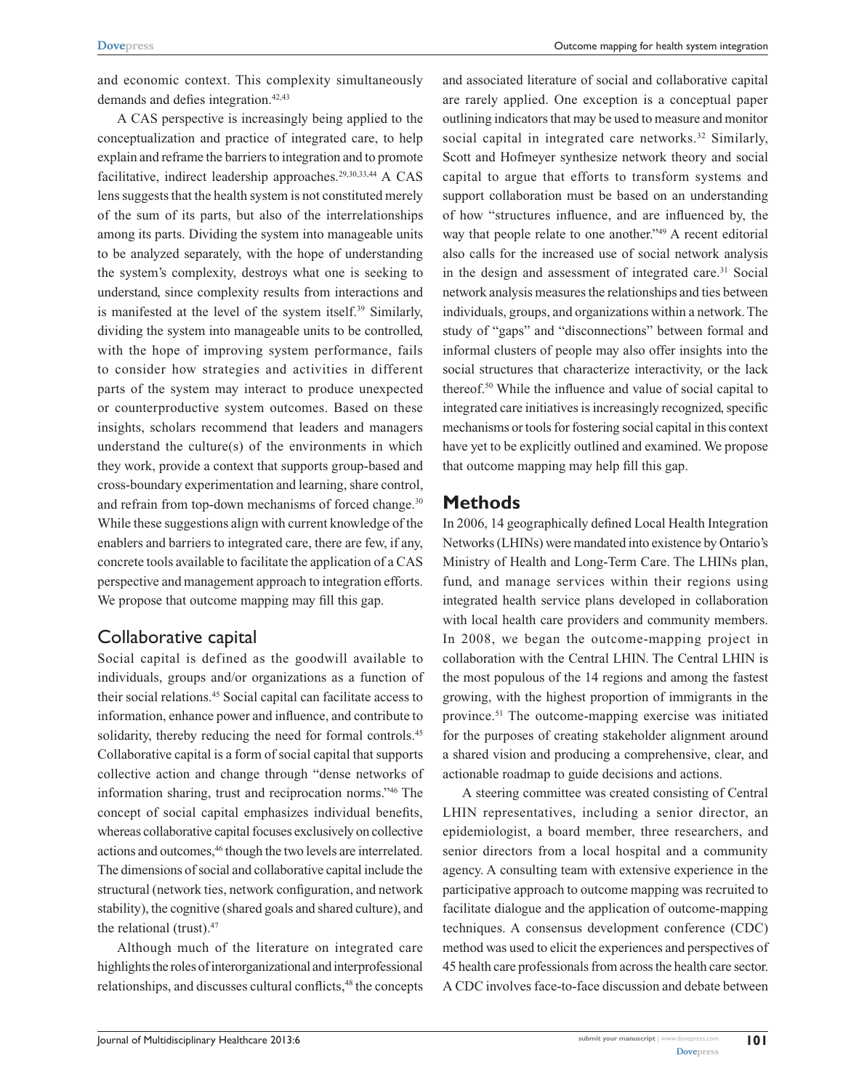and economic context. This complexity simultaneously demands and defies integration.<sup>42,43</sup>

A CAS perspective is increasingly being applied to the conceptualization and practice of integrated care, to help explain and reframe the barriers to integration and to promote facilitative, indirect leadership approaches.<sup>29,30,33,44</sup> A CAS lens suggests that the health system is not constituted merely of the sum of its parts, but also of the interrelationships among its parts. Dividing the system into manageable units to be analyzed separately, with the hope of understanding the system's complexity, destroys what one is seeking to understand, since complexity results from interactions and is manifested at the level of the system itself.<sup>39</sup> Similarly, dividing the system into manageable units to be controlled, with the hope of improving system performance, fails to consider how strategies and activities in different parts of the system may interact to produce unexpected or counterproductive system outcomes. Based on these insights, scholars recommend that leaders and managers understand the culture(s) of the environments in which they work, provide a context that supports group-based and cross-boundary experimentation and learning, share control, and refrain from top-down mechanisms of forced change.<sup>30</sup> While these suggestions align with current knowledge of the enablers and barriers to integrated care, there are few, if any, concrete tools available to facilitate the application of a CAS perspective and management approach to integration efforts. We propose that outcome mapping may fill this gap.

## Collaborative capital

Social capital is defined as the goodwill available to individuals, groups and/or organizations as a function of their social relations.45 Social capital can facilitate access to information, enhance power and influence, and contribute to solidarity, thereby reducing the need for formal controls.<sup>45</sup> Collaborative capital is a form of social capital that supports collective action and change through "dense networks of information sharing, trust and reciprocation norms."46 The concept of social capital emphasizes individual benefits, whereas collaborative capital focuses exclusively on collective actions and outcomes,<sup>46</sup> though the two levels are interrelated. The dimensions of social and collaborative capital include the structural (network ties, network configuration, and network stability), the cognitive (shared goals and shared culture), and the relational (trust).47

Although much of the literature on integrated care highlights the roles of interorganizational and interprofessional relationships, and discusses cultural conflicts,<sup>48</sup> the concepts and associated literature of social and collaborative capital are rarely applied. One exception is a conceptual paper outlining indicators that may be used to measure and monitor social capital in integrated care networks.<sup>32</sup> Similarly, Scott and Hofmeyer synthesize network theory and social capital to argue that efforts to transform systems and support collaboration must be based on an understanding of how "structures influence, and are influenced by, the way that people relate to one another."49 A recent editorial also calls for the increased use of social network analysis in the design and assessment of integrated care.<sup>31</sup> Social network analysis measures the relationships and ties between individuals, groups, and organizations within a network. The study of "gaps" and "disconnections" between formal and informal clusters of people may also offer insights into the social structures that characterize interactivity, or the lack thereof.50 While the influence and value of social capital to integrated care initiatives is increasingly recognized, specific mechanisms or tools for fostering social capital in this context have yet to be explicitly outlined and examined. We propose that outcome mapping may help fill this gap.

#### **Methods**

In 2006, 14 geographically defined Local Health Integration Networks (LHINs) were mandated into existence by Ontario's Ministry of Health and Long-Term Care. The LHINs plan, fund, and manage services within their regions using integrated health service plans developed in collaboration with local health care providers and community members. In 2008, we began the outcome-mapping project in collaboration with the Central LHIN. The Central LHIN is the most populous of the 14 regions and among the fastest growing, with the highest proportion of immigrants in the province.51 The outcome-mapping exercise was initiated for the purposes of creating stakeholder alignment around a shared vision and producing a comprehensive, clear, and actionable roadmap to guide decisions and actions.

A steering committee was created consisting of Central LHIN representatives, including a senior director, an epidemiologist, a board member, three researchers, and senior directors from a local hospital and a community agency. A consulting team with extensive experience in the participative approach to outcome mapping was recruited to facilitate dialogue and the application of outcome-mapping techniques. A consensus development conference (CDC) method was used to elicit the experiences and perspectives of 45 health care professionals from across the health care sector. A CDC involves face-to-face discussion and debate between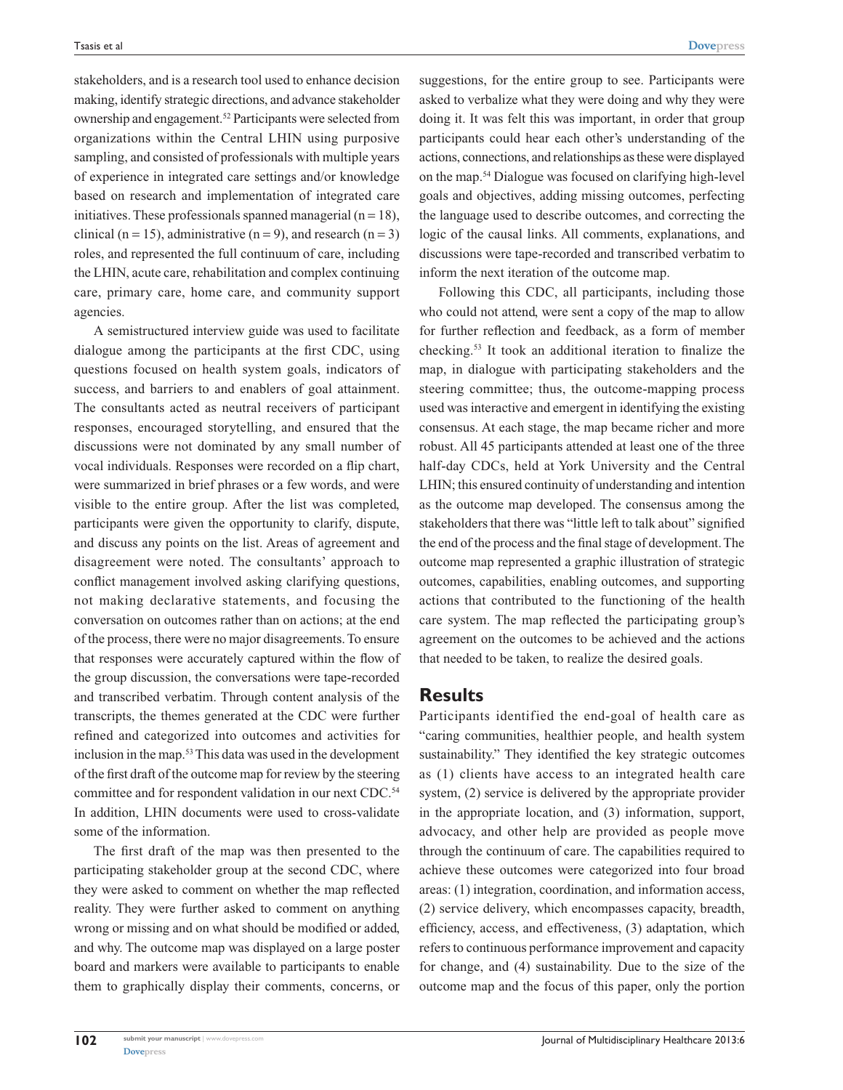stakeholders, and is a research tool used to enhance decision making, identify strategic directions, and advance stakeholder ownership and engagement.<sup>52</sup> Participants were selected from organizations within the Central LHIN using purposive sampling, and consisted of professionals with multiple years of experience in integrated care settings and/or knowledge based on research and implementation of integrated care initiatives. These professionals spanned managerial  $(n = 18)$ , clinical (n = 15), administrative (n = 9), and research (n = 3) roles, and represented the full continuum of care, including the LHIN, acute care, rehabilitation and complex continuing care, primary care, home care, and community support agencies.

A semistructured interview guide was used to facilitate dialogue among the participants at the first CDC, using questions focused on health system goals, indicators of success, and barriers to and enablers of goal attainment. The consultants acted as neutral receivers of participant responses, encouraged storytelling, and ensured that the discussions were not dominated by any small number of vocal individuals. Responses were recorded on a flip chart, were summarized in brief phrases or a few words, and were visible to the entire group. After the list was completed, participants were given the opportunity to clarify, dispute, and discuss any points on the list. Areas of agreement and disagreement were noted. The consultants' approach to conflict management involved asking clarifying questions, not making declarative statements, and focusing the conversation on outcomes rather than on actions; at the end of the process, there were no major disagreements. To ensure that responses were accurately captured within the flow of the group discussion, the conversations were tape-recorded and transcribed verbatim. Through content analysis of the transcripts, the themes generated at the CDC were further refined and categorized into outcomes and activities for inclusion in the map.53 This data was used in the development of the first draft of the outcome map for review by the steering committee and for respondent validation in our next CDC.<sup>54</sup> In addition, LHIN documents were used to cross-validate some of the information.

The first draft of the map was then presented to the participating stakeholder group at the second CDC, where they were asked to comment on whether the map reflected reality. They were further asked to comment on anything wrong or missing and on what should be modified or added, and why. The outcome map was displayed on a large poster board and markers were available to participants to enable them to graphically display their comments, concerns, or suggestions, for the entire group to see. Participants were asked to verbalize what they were doing and why they were doing it. It was felt this was important, in order that group participants could hear each other's understanding of the actions, connections, and relationships as these were displayed on the map.54 Dialogue was focused on clarifying high-level goals and objectives, adding missing outcomes, perfecting the language used to describe outcomes, and correcting the logic of the causal links. All comments, explanations, and discussions were tape-recorded and transcribed verbatim to inform the next iteration of the outcome map.

Following this CDC, all participants, including those who could not attend, were sent a copy of the map to allow for further reflection and feedback, as a form of member checking.53 It took an additional iteration to finalize the map, in dialogue with participating stakeholders and the steering committee; thus, the outcome-mapping process used was interactive and emergent in identifying the existing consensus. At each stage, the map became richer and more robust. All 45 participants attended at least one of the three half-day CDCs, held at York University and the Central LHIN; this ensured continuity of understanding and intention as the outcome map developed. The consensus among the stakeholders that there was "little left to talk about" signified the end of the process and the final stage of development. The outcome map represented a graphic illustration of strategic outcomes, capabilities, enabling outcomes, and supporting actions that contributed to the functioning of the health care system. The map reflected the participating group's agreement on the outcomes to be achieved and the actions that needed to be taken, to realize the desired goals.

#### **Results**

Participants identified the end-goal of health care as "caring communities, healthier people, and health system sustainability." They identified the key strategic outcomes as (1) clients have access to an integrated health care system, (2) service is delivered by the appropriate provider in the appropriate location, and (3) information, support, advocacy, and other help are provided as people move through the continuum of care. The capabilities required to achieve these outcomes were categorized into four broad areas: (1) integration, coordination, and information access, (2) service delivery, which encompasses capacity, breadth, efficiency, access, and effectiveness, (3) adaptation, which refers to continuous performance improvement and capacity for change, and (4) sustainability. Due to the size of the outcome map and the focus of this paper, only the portion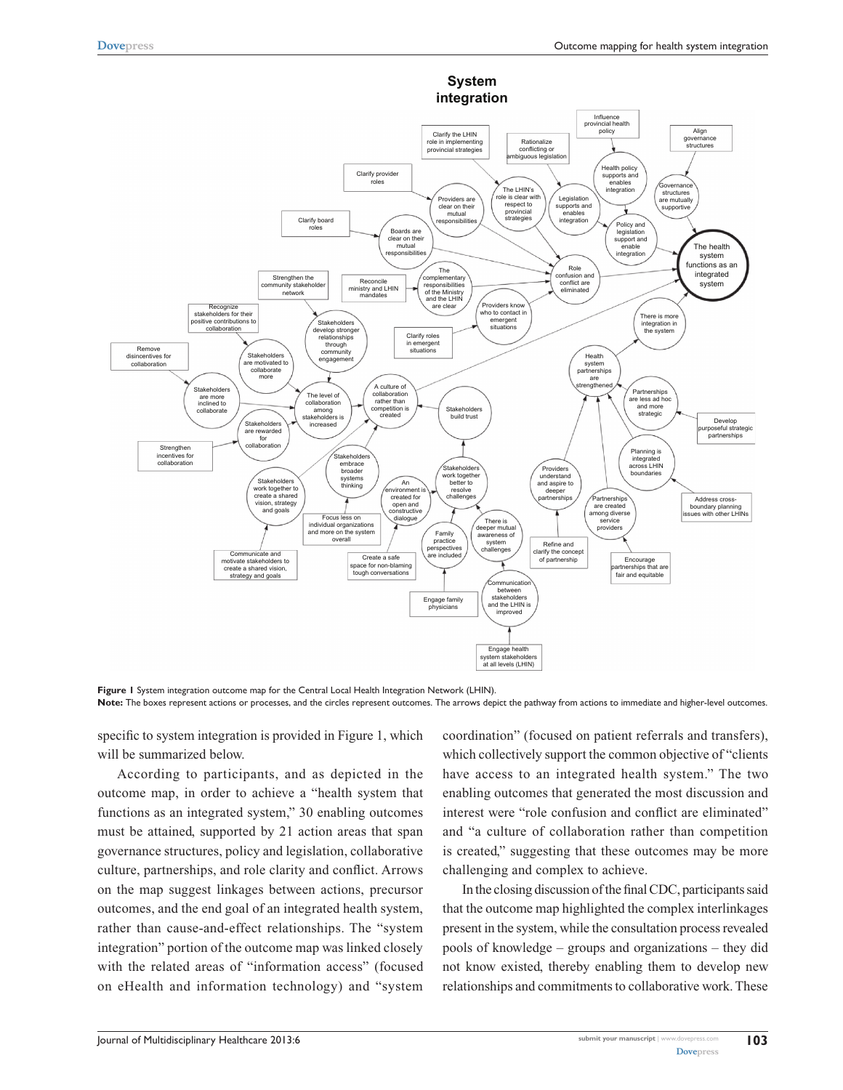

**Figure 1** System integration outcome map for the Central Local Health Integration Network (LHIN). **Note:** The boxes represent actions or processes, and the circles represent outcomes. The arrows depict the pathway from actions to immediate and higher-level outcomes.

specific to system integration is provided in Figure 1, which will be summarized below.

According to participants, and as depicted in the outcome map, in order to achieve a "health system that functions as an integrated system," 30 enabling outcomes must be attained, supported by 21 action areas that span governance structures, policy and legislation, collaborative culture, partnerships, and role clarity and conflict. Arrows on the map suggest linkages between actions, precursor outcomes, and the end goal of an integrated health system, rather than cause-and-effect relationships. The "system integration" portion of the outcome map was linked closely with the related areas of "information access" (focused on eHealth and information technology) and "system coordination" (focused on patient referrals and transfers), which collectively support the common objective of "clients have access to an integrated health system." The two enabling outcomes that generated the most discussion and interest were "role confusion and conflict are eliminated" and "a culture of collaboration rather than competition is created," suggesting that these outcomes may be more challenging and complex to achieve.

In the closing discussion of the final CDC, participants said that the outcome map highlighted the complex interlinkages present in the system, while the consultation process revealed pools of knowledge – groups and organizations – they did not know existed, thereby enabling them to develop new relationships and commitments to collaborative work. These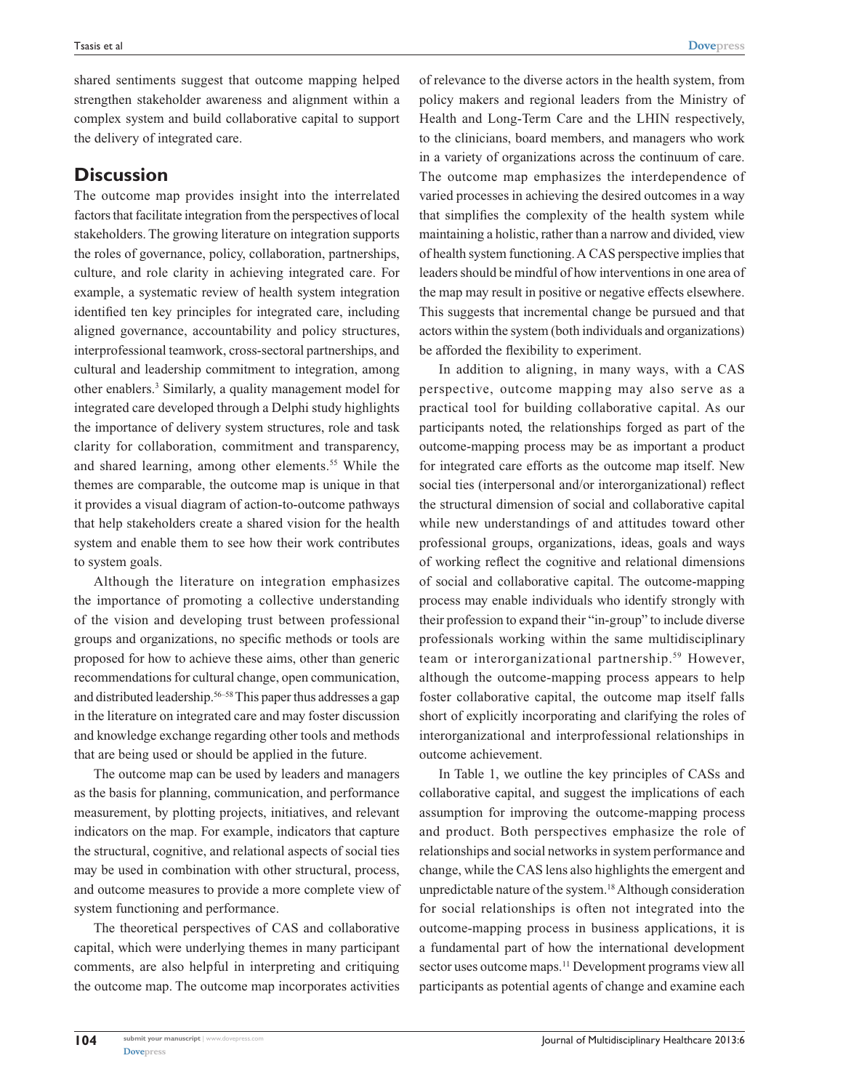shared sentiments suggest that outcome mapping helped strengthen stakeholder awareness and alignment within a complex system and build collaborative capital to support the delivery of integrated care.

## **Discussion**

The outcome map provides insight into the interrelated factors that facilitate integration from the perspectives of local stakeholders. The growing literature on integration supports the roles of governance, policy, collaboration, partnerships, culture, and role clarity in achieving integrated care. For example, a systematic review of health system integration identified ten key principles for integrated care, including aligned governance, accountability and policy structures, interprofessional teamwork, cross-sectoral partnerships, and cultural and leadership commitment to integration, among other enablers.<sup>3</sup> Similarly, a quality management model for integrated care developed through a Delphi study highlights the importance of delivery system structures, role and task clarity for collaboration, commitment and transparency, and shared learning, among other elements.<sup>55</sup> While the themes are comparable, the outcome map is unique in that it provides a visual diagram of action-to-outcome pathways that help stakeholders create a shared vision for the health system and enable them to see how their work contributes to system goals.

Although the literature on integration emphasizes the importance of promoting a collective understanding of the vision and developing trust between professional groups and organizations, no specific methods or tools are proposed for how to achieve these aims, other than generic recommendations for cultural change, open communication, and distributed leadership.<sup>56-58</sup> This paper thus addresses a gap in the literature on integrated care and may foster discussion and knowledge exchange regarding other tools and methods that are being used or should be applied in the future.

The outcome map can be used by leaders and managers as the basis for planning, communication, and performance measurement, by plotting projects, initiatives, and relevant indicators on the map. For example, indicators that capture the structural, cognitive, and relational aspects of social ties may be used in combination with other structural, process, and outcome measures to provide a more complete view of system functioning and performance.

The theoretical perspectives of CAS and collaborative capital, which were underlying themes in many participant comments, are also helpful in interpreting and critiquing the outcome map. The outcome map incorporates activities of relevance to the diverse actors in the health system, from policy makers and regional leaders from the Ministry of Health and Long-Term Care and the LHIN respectively, to the clinicians, board members, and managers who work in a variety of organizations across the continuum of care. The outcome map emphasizes the interdependence of varied processes in achieving the desired outcomes in a way that simplifies the complexity of the health system while maintaining a holistic, rather than a narrow and divided, view of health system functioning. A CAS perspective implies that leaders should be mindful of how interventions in one area of the map may result in positive or negative effects elsewhere. This suggests that incremental change be pursued and that actors within the system (both individuals and organizations) be afforded the flexibility to experiment.

In addition to aligning, in many ways, with a CAS perspective, outcome mapping may also serve as a practical tool for building collaborative capital. As our participants noted, the relationships forged as part of the outcome-mapping process may be as important a product for integrated care efforts as the outcome map itself. New social ties (interpersonal and/or interorganizational) reflect the structural dimension of social and collaborative capital while new understandings of and attitudes toward other professional groups, organizations, ideas, goals and ways of working reflect the cognitive and relational dimensions of social and collaborative capital. The outcome-mapping process may enable individuals who identify strongly with their profession to expand their "in-group" to include diverse professionals working within the same multidisciplinary team or interorganizational partnership.<sup>59</sup> However, although the outcome-mapping process appears to help foster collaborative capital, the outcome map itself falls short of explicitly incorporating and clarifying the roles of interorganizational and interprofessional relationships in outcome achievement.

In Table 1, we outline the key principles of CASs and collaborative capital, and suggest the implications of each assumption for improving the outcome-mapping process and product. Both perspectives emphasize the role of relationships and social networks in system performance and change, while the CAS lens also highlights the emergent and unpredictable nature of the system.18 Although consideration for social relationships is often not integrated into the outcome-mapping process in business applications, it is a fundamental part of how the international development sector uses outcome maps.<sup>11</sup> Development programs view all participants as potential agents of change and examine each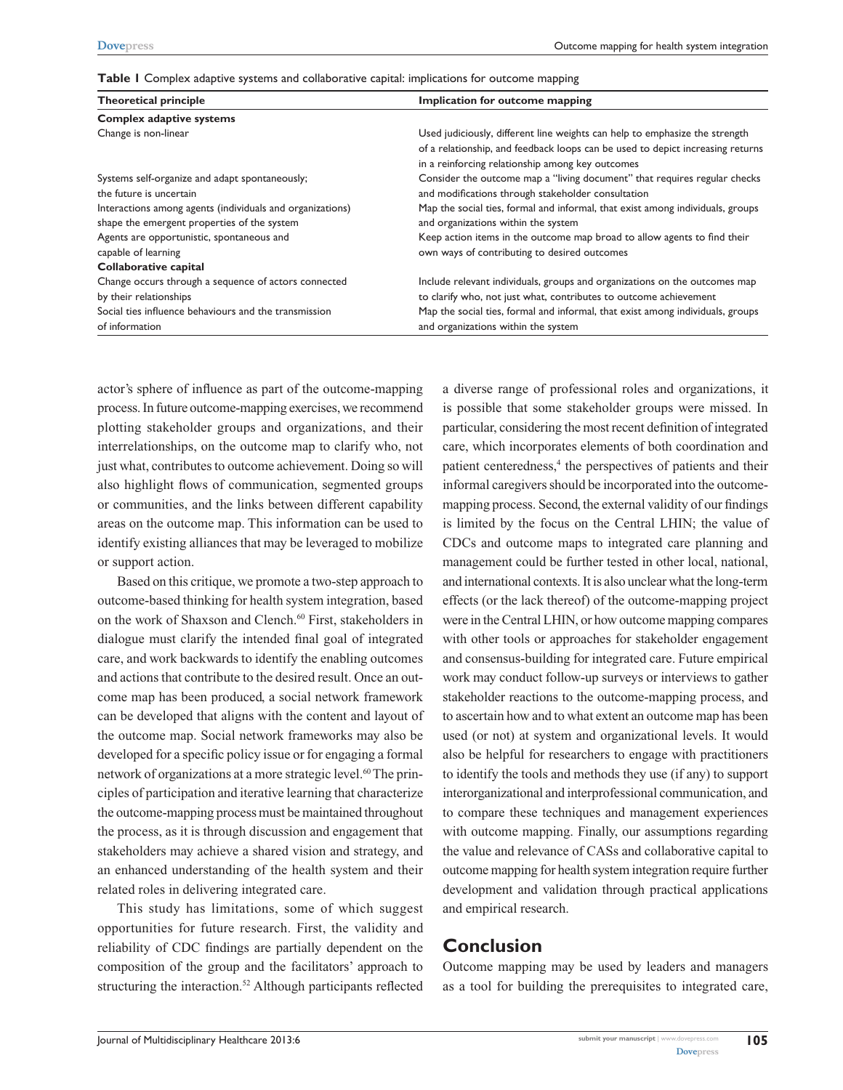#### **Table 1** Complex adaptive systems and collaborative capital: implications for outcome mapping

| <b>Theoretical principle</b>                              | Implication for outcome mapping                                                |
|-----------------------------------------------------------|--------------------------------------------------------------------------------|
| <b>Complex adaptive systems</b>                           |                                                                                |
| Change is non-linear                                      | Used judiciously, different line weights can help to emphasize the strength    |
|                                                           | of a relationship, and feedback loops can be used to depict increasing returns |
|                                                           | in a reinforcing relationship among key outcomes                               |
| Systems self-organize and adapt spontaneously;            | Consider the outcome map a "living document" that requires regular checks      |
| the future is uncertain                                   | and modifications through stakeholder consultation                             |
| Interactions among agents (individuals and organizations) | Map the social ties, formal and informal, that exist among individuals, groups |
| shape the emergent properties of the system               | and organizations within the system                                            |
| Agents are opportunistic, spontaneous and                 | Keep action items in the outcome map broad to allow agents to find their       |
| capable of learning                                       | own ways of contributing to desired outcomes                                   |
| Collaborative capital                                     |                                                                                |
| Change occurs through a sequence of actors connected      | Include relevant individuals, groups and organizations on the outcomes map     |
| by their relationships                                    | to clarify who, not just what, contributes to outcome achievement              |
| Social ties influence behaviours and the transmission     | Map the social ties, formal and informal, that exist among individuals, groups |
| of information                                            | and organizations within the system                                            |

actor's sphere of influence as part of the outcome-mapping process. In future outcome-mapping exercises, we recommend plotting stakeholder groups and organizations, and their interrelationships, on the outcome map to clarify who, not just what, contributes to outcome achievement. Doing so will also highlight flows of communication, segmented groups or communities, and the links between different capability areas on the outcome map. This information can be used to identify existing alliances that may be leveraged to mobilize or support action.

Based on this critique, we promote a two-step approach to outcome-based thinking for health system integration, based on the work of Shaxson and Clench.<sup>60</sup> First, stakeholders in dialogue must clarify the intended final goal of integrated care, and work backwards to identify the enabling outcomes and actions that contribute to the desired result. Once an outcome map has been produced, a social network framework can be developed that aligns with the content and layout of the outcome map. Social network frameworks may also be developed for a specific policy issue or for engaging a formal network of organizations at a more strategic level.<sup>60</sup> The principles of participation and iterative learning that characterize the outcome-mapping process must be maintained throughout the process, as it is through discussion and engagement that stakeholders may achieve a shared vision and strategy, and an enhanced understanding of the health system and their related roles in delivering integrated care.

This study has limitations, some of which suggest opportunities for future research. First, the validity and reliability of CDC findings are partially dependent on the composition of the group and the facilitators' approach to structuring the interaction.<sup>52</sup> Although participants reflected

a diverse range of professional roles and organizations, it is possible that some stakeholder groups were missed. In particular, considering the most recent definition of integrated care, which incorporates elements of both coordination and patient centeredness,<sup>4</sup> the perspectives of patients and their informal caregivers should be incorporated into the outcomemapping process. Second, the external validity of our findings is limited by the focus on the Central LHIN; the value of CDCs and outcome maps to integrated care planning and management could be further tested in other local, national, and international contexts. It is also unclear what the long-term effects (or the lack thereof) of the outcome-mapping project were in the Central LHIN, or how outcome mapping compares with other tools or approaches for stakeholder engagement and consensus-building for integrated care. Future empirical work may conduct follow-up surveys or interviews to gather stakeholder reactions to the outcome-mapping process, and to ascertain how and to what extent an outcome map has been used (or not) at system and organizational levels. It would also be helpful for researchers to engage with practitioners to identify the tools and methods they use (if any) to support interorganizational and interprofessional communication, and to compare these techniques and management experiences with outcome mapping. Finally, our assumptions regarding the value and relevance of CASs and collaborative capital to outcome mapping for health system integration require further development and validation through practical applications and empirical research.

# **Conclusion**

Outcome mapping may be used by leaders and managers as a tool for building the prerequisites to integrated care,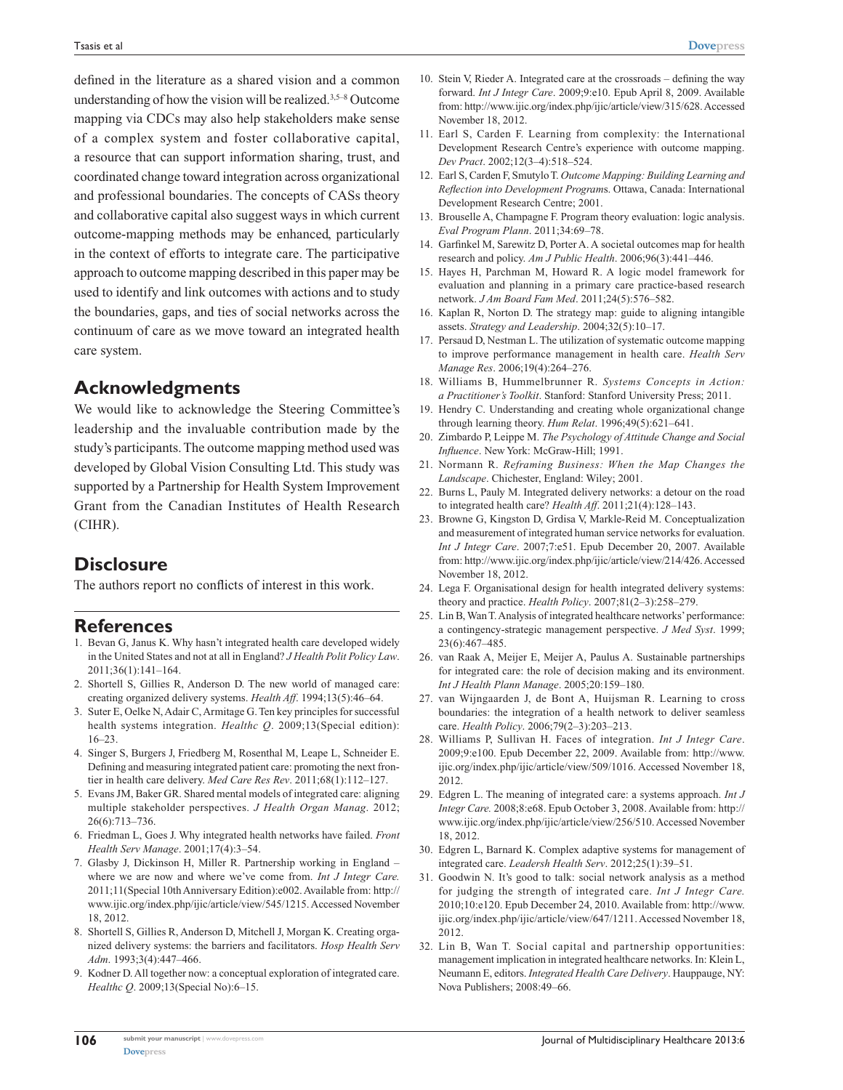defined in the literature as a shared vision and a common understanding of how the vision will be realized.3,5–8 Outcome mapping via CDCs may also help stakeholders make sense of a complex system and foster collaborative capital, a resource that can support information sharing, trust, and coordinated change toward integration across organizational and professional boundaries. The concepts of CASs theory and collaborative capital also suggest ways in which current outcome-mapping methods may be enhanced, particularly in the context of efforts to integrate care. The participative approach to outcome mapping described in this paper may be used to identify and link outcomes with actions and to study the boundaries, gaps, and ties of social networks across the continuum of care as we move toward an integrated health care system.

## **Acknowledgments**

We would like to acknowledge the Steering Committee's leadership and the invaluable contribution made by the study's participants. The outcome mapping method used was developed by Global Vision Consulting Ltd. This study was supported by a Partnership for Health System Improvement Grant from the Canadian Institutes of Health Research (CIHR).

## **Disclosure**

The authors report no conflicts of interest in this work.

## **References**

- 1. Bevan G, Janus K. Why hasn't integrated health care developed widely in the United States and not at all in England? *J Health Polit Policy Law*. 2011;36(1):141–164.
- 2. Shortell S, Gillies R, Anderson D. The new world of managed care: creating organized delivery systems. *Health Aff*. 1994;13(5):46–64.
- 3. Suter E, Oelke N, Adair C, Armitage G. Ten key principles for successful health systems integration. *Healthc Q*. 2009;13(Special edition): 16–23.
- 4. Singer S, Burgers J, Friedberg M, Rosenthal M, Leape L, Schneider E. Defining and measuring integrated patient care: promoting the next frontier in health care delivery. *Med Care Res Rev*. 2011;68(1):112–127.
- 5. Evans JM, Baker GR. Shared mental models of integrated care: aligning multiple stakeholder perspectives. *J Health Organ Manag*. 2012; 26(6):713–736.
- 6. Friedman L, Goes J. Why integrated health networks have failed. *Front Health Serv Manage*. 2001;17(4):3–54.
- 7. Glasby J, Dickinson H, Miller R. Partnership working in England where we are now and where we've come from. *Int J Integr Care.* 2011;11(Special 10th Anniversary Edition):e002. Available from: [http://](http://www.ijic.org/index.php/ijic/article/view/545/1215) [www.ijic.org/index.php/ijic/article/view/545/1215.](http://www.ijic.org/index.php/ijic/article/view/545/1215) Accessed November 18, 2012.
- 8. Shortell S, Gillies R, Anderson D, Mitchell J, Morgan K. Creating organized delivery systems: the barriers and facilitators. *Hosp Health Serv Adm*. 1993;3(4):447–466.
- 9. Kodner D. All together now: a conceptual exploration of integrated care. *Healthc Q*. 2009;13(Special No):6–15.
- 10. Stein V, Rieder A. Integrated care at the crossroads defining the way forward. *Int J Integr Care*. 2009;9:e10. Epub April 8, 2009. Available from: [http://www.ijic.org/index.php/ijic/article/view/315/628.](http://www.ijic.org/index.php/ijic/article/view/315/628) Accessed November 18, 2012.
- 11. Earl S, Carden F. Learning from complexity: the International Development Research Centre's experience with outcome mapping. *Dev Pract*. 2002;12(3–4):518–524.
- 12. Earl S, Carden F, Smutylo T. *Outcome Mapping: Building Learning and Reflection into Development Program*s. Ottawa, Canada: International Development Research Centre; 2001.
- 13. Brouselle A, Champagne F. Program theory evaluation: logic analysis. *Eval Program Plann*. 2011;34:69–78.
- 14. Garfinkel M, Sarewitz D, Porter A. A societal outcomes map for health research and policy. *Am J Public Health*. 2006;96(3):441–446.
- 15. Hayes H, Parchman M, Howard R. A logic model framework for evaluation and planning in a primary care practice-based research network. *J Am Board Fam Med*. 2011;24(5):576–582.
- 16. Kaplan R, Norton D. The strategy map: guide to aligning intangible assets. *Strategy and Leadership*. 2004;32(5):10–17.
- 17. Persaud D, Nestman L. The utilization of systematic outcome mapping to improve performance management in health care. *Health Serv Manage Res*. 2006;19(4):264–276.
- 18. Williams B, Hummelbrunner R. *Systems Concepts in Action: a Practitioner's Toolkit*. Stanford: Stanford University Press; 2011.
- 19. Hendry C. Understanding and creating whole organizational change through learning theory. *Hum Relat*. 1996;49(5):621–641.
- 20. Zimbardo P, Leippe M. *The Psychology of Attitude Change and Social Influence*. New York: McGraw-Hill; 1991.
- 21. Normann R. *Reframing Business: When the Map Changes the Landscape*. Chichester, England: Wiley; 2001.
- 22. Burns L, Pauly M. Integrated delivery networks: a detour on the road to integrated health care? *Health Aff*. 2011;21(4):128–143.
- 23. Browne G, Kingston D, Grdisa V, Markle-Reid M. Conceptualization and measurement of integrated human service networks for evaluation. *Int J Integr Care*. 2007;7:e51. Epub December 20, 2007. Available from: [http://www.ijic.org/index.php/ijic/article/view/214/426.](http://www.ijic.org/index.php/ijic/article/view/214/426) Accessed November 18, 2012.
- 24. Lega F. Organisational design for health integrated delivery systems: theory and practice. *Health Policy*. 2007;81(2–3):258–279.
- 25. Lin B, Wan T. Analysis of integrated healthcare networks' performance: a contingency-strategic management perspective. *J Med Syst*. 1999; 23(6):467–485.
- 26. van Raak A, Meijer E, Meijer A, Paulus A. Sustainable partnerships for integrated care: the role of decision making and its environment. *Int J Health Plann Manage*. 2005;20:159–180.
- 27. van Wijngaarden J, de Bont A, Huijsman R. Learning to cross boundaries: the integration of a health network to deliver seamless care. *Health Policy*. 2006;79(2–3):203–213.
- 28. Williams P, Sullivan H. Faces of integration. *Int J Integr Care*. 2009;9:e100. Epub December 22, 2009. Available from: [http://www.](http://www.ijic.org/index.php/ijic/article/view/509/1016) [ijic.org/index.php/ijic/article/view/509/1016](http://www.ijic.org/index.php/ijic/article/view/509/1016). Accessed November 18, 2012.
- 29. Edgren L. The meaning of integrated care: a systems approach. *Int J Integr Care.* 2008;8:e68. Epub October 3, 2008. Available from: [http://](http://www.ijic.org/index.php/ijic/article/view/256/510) [www.ijic.org/index.php/ijic/article/view/256/510.](http://www.ijic.org/index.php/ijic/article/view/256/510) Accessed November 18, 2012.
- 30. Edgren L, Barnard K. Complex adaptive systems for management of integrated care. *Leadersh Health Serv*. 2012;25(1):39–51.
- 31. Goodwin N. It's good to talk: social network analysis as a method for judging the strength of integrated care. *Int J Integr Care.* 2010;10:e120. Epub December 24, 2010. Available from: [http://www.](http://www.ijic.org/index.php/ijic/article/view/647/1211) [ijic.org/index.php/ijic/article/view/647/1211](http://www.ijic.org/index.php/ijic/article/view/647/1211). Accessed November 18, 2012.
- 32. Lin B, Wan T. Social capital and partnership opportunities: management implication in integrated healthcare networks. In: Klein L, Neumann E, editors. *Integrated Health Care Delivery*. Hauppauge, NY: Nova Publishers; 2008:49–66.